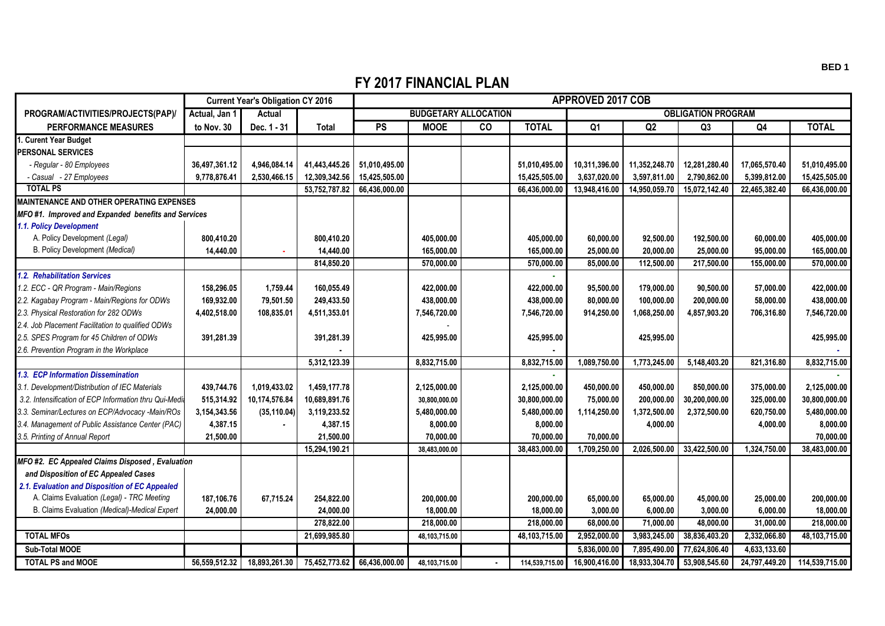## **FY 2017 FINANCIAL PLAN**

|                                                       | <b>Current Year's Obligation CY 2016</b> |               |               | <b>APPROVED 2017 COB</b>    |               |           |                |                           |               |                |               |                |  |
|-------------------------------------------------------|------------------------------------------|---------------|---------------|-----------------------------|---------------|-----------|----------------|---------------------------|---------------|----------------|---------------|----------------|--|
| PROGRAM/ACTIVITIES/PROJECTS(PAP)/                     | Actual, Jan 1                            | Actual        |               | <b>BUDGETARY ALLOCATION</b> |               |           |                | <b>OBLIGATION PROGRAM</b> |               |                |               |                |  |
| <b>PERFORMANCE MEASURES</b>                           | to Nov. 30                               | Dec. 1 - 31   | <b>Total</b>  | PS                          | <b>MOOE</b>   | <b>CO</b> | <b>TOTAL</b>   | Q <sub>1</sub>            | Q2            | Q <sub>3</sub> | Q4            | <b>TOTAL</b>   |  |
| 1. Curent Year Budget                                 |                                          |               |               |                             |               |           |                |                           |               |                |               |                |  |
| <b>PERSONAL SERVICES</b>                              |                                          |               |               |                             |               |           |                |                           |               |                |               |                |  |
| - Regular - 80 Employees                              | 36,497,361.12                            | 4,946,084.14  | 41.443.445.26 | 51,010,495.00               |               |           | 51,010,495.00  | 10,311,396.00             | 11,352,248.70 | 12,281,280.40  | 17,065,570.40 | 51,010,495.00  |  |
| - Casual - 27 Employees                               | 9,778,876.41                             | 2,530,466.15  | 12,309,342.56 | 15,425,505.00               |               |           | 15,425,505.00  | 3,637,020.00              | 3,597,811.00  | 2,790,862.00   | 5,399,812.00  | 15,425,505.00  |  |
| <b>TOTAL PS</b>                                       |                                          |               | 53,752,787.82 | 66,436,000.00               |               |           | 66,436,000.00  | 13.948.416.00             | 14.950.059.70 | 15.072.142.40  | 22,465,382.40 | 66,436,000.00  |  |
| <b>MAINTENANCE AND OTHER OPERATING EXPENSES</b>       |                                          |               |               |                             |               |           |                |                           |               |                |               |                |  |
| MFO#1. Improved and Expanded benefits and Services    |                                          |               |               |                             |               |           |                |                           |               |                |               |                |  |
| 1.1. Policy Development                               |                                          |               |               |                             |               |           |                |                           |               |                |               |                |  |
| A. Policy Development (Legal)                         | 800.410.20                               |               | 800.410.20    |                             | 405.000.00    |           | 405,000.00     | 60,000.00                 | 92.500.00     | 192.500.00     | 60.000.00     | 405,000.00     |  |
| B. Policy Development (Medical)                       | 14,440.00                                |               | 14,440.00     |                             | 165,000.00    |           | 165,000.00     | 25,000.00                 | 20,000.00     | 25,000.00      | 95,000.00     | 165,000.00     |  |
|                                                       |                                          |               | 814,850.20    |                             | 570.000.00    |           | 570,000.00     | 85,000.00                 | 112,500.00    | 217,500.00     | 155,000.00    | 570,000.00     |  |
| 1.2. Rehabilitation Services                          |                                          |               |               |                             |               |           |                |                           |               |                |               |                |  |
| 1.2. ECC - QR Program - Main/Regions                  | 158.296.05                               | 1,759.44      | 160.055.49    |                             | 422.000.00    |           | 422,000.00     | 95,500.00                 | 179.000.00    | 90.500.00      | 57,000.00     | 422,000.00     |  |
| 2.2. Kagabay Program - Main/Regions for ODWs          | 169,932.00                               | 79,501.50     | 249,433.50    |                             | 438,000.00    |           | 438,000.00     | 80,000.00                 | 100,000.00    | 200,000.00     | 58,000.00     | 438,000.00     |  |
| 2.3. Physical Restoration for 282 ODWs                | 4,402,518.00                             | 108,835.01    | 4,511,353.01  |                             | 7,546,720.00  |           | 7,546,720.00   | 914,250.00                | 1,068,250.00  | 4,857,903.20   | 706,316.80    | 7,546,720.00   |  |
| 2.4. Job Placement Facilitation to qualified ODWs     |                                          |               |               |                             |               |           |                |                           |               |                |               |                |  |
| 2.5. SPES Program for 45 Children of ODWs             | 391,281.39                               |               | 391,281.39    |                             | 425,995.00    |           | 425,995.00     |                           | 425,995.00    |                |               | 425,995.00     |  |
| 2.6. Prevention Program in the Workplace              |                                          |               |               |                             |               |           |                |                           |               |                |               |                |  |
|                                                       |                                          |               | 5,312,123.39  |                             | 8,832,715.00  |           | 8,832,715.00   | 1,089,750.00              | 1,773,245.00  | 5,148,403.20   | 821,316.80    | 8,832,715.00   |  |
| 1.3. ECP Information Dissemination                    |                                          |               |               |                             |               |           |                |                           |               |                |               |                |  |
| 3.1. Development/Distribution of IEC Materials        | 439.744.76                               | 1,019,433.02  | 1,459,177.78  |                             | 2,125,000.00  |           | 2,125,000.00   | 450,000.00                | 450,000.00    | 850,000.00     | 375,000.00    | 2,125,000.00   |  |
| 3.2. Intensification of ECP Information thru Qui-Medi | 515,314.92                               | 10,174,576.84 | 10,689,891.76 |                             | 30,800,000.00 |           | 30,800,000.00  | 75,000.00                 | 200,000.00    | 30.200.000.00  | 325,000.00    | 30,800,000.00  |  |
| 3.3. Seminar/Lectures on ECP/Advocacy -Main/ROs       | 3,154,343.56                             | (35, 110.04)  | 3,119,233.52  |                             | 5,480,000.00  |           | 5,480,000.00   | 1,114,250.00              | 1,372,500.00  | 2,372,500.00   | 620,750.00    | 5,480,000.00   |  |
| 3.4. Management of Public Assistance Center (PAC)     | 4,387.15                                 |               | 4,387.15      |                             | 8,000.00      |           | 8,000.00       |                           | 4,000.00      |                | 4,000.00      | 8,000.00       |  |
| 3.5. Printing of Annual Report                        | 21,500.00                                |               | 21,500.00     |                             | 70.000.00     |           | 70.000.00      | 70.000.00                 |               |                |               | 70,000.00      |  |
|                                                       |                                          |               | 15,294,190.21 |                             | 38,483,000.00 |           | 38,483,000.00  | 1,709,250.00              | 2,026,500.00  | 33,422,500.00  | 1,324,750.00  | 38,483,000.00  |  |
| MFO#2. EC Appealed Claims Disposed, Evaluation        |                                          |               |               |                             |               |           |                |                           |               |                |               |                |  |
| and Disposition of EC Appealed Cases                  |                                          |               |               |                             |               |           |                |                           |               |                |               |                |  |
| 2.1. Evaluation and Disposition of EC Appealed        |                                          |               |               |                             |               |           |                |                           |               |                |               |                |  |
| A. Claims Evaluation (Legal) - TRC Meeting            | 187,106.76                               | 67,715.24     | 254,822.00    |                             | 200,000.00    |           | 200,000.00     | 65,000.00                 | 65,000.00     | 45,000.00      | 25,000.00     | 200,000.00     |  |
| B. Claims Evaluation (Medical)-Medical Expert         | 24.000.00                                |               | 24,000.00     |                             | 18.000.00     |           | 18,000.00      | 3,000.00                  | 6,000.00      | 3,000.00       | 6,000.00      | 18,000.00      |  |
|                                                       |                                          |               | 278.822.00    |                             | 218.000.00    |           | 218.000.00     | 68.000.00                 | 71.000.00     | 48.000.00      | 31.000.00     | 218.000.00     |  |
| <b>TOTAL MFOs</b>                                     |                                          |               | 21,699,985.80 |                             | 48,103,715.00 |           | 48,103,715.00  | 2,952,000.00              | 3,983,245.00  | 38,836,403.20  | 2,332,066.80  | 48,103,715.00  |  |
| <b>Sub-Total MOOE</b>                                 |                                          |               |               |                             |               |           |                | 5,836,000.00              | 7,895,490.00  | 77,624,806.40  | 4,633,133.60  |                |  |
| <b>TOTAL PS and MOOE</b>                              | 56,559,512.32                            | 18,893,261.30 | 75,452,773.62 | 66,436,000.00               | 48,103,715.00 |           | 114,539,715.00 | 16,900,416.00             | 18,933,304.70 | 53,908,545.60  | 24,797,449.20 | 114,539,715.00 |  |